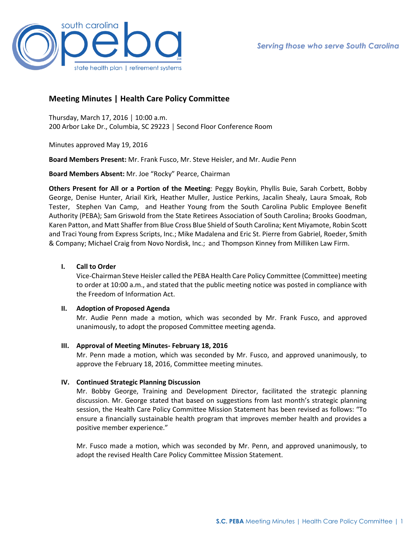

# **Meeting Minutes | Health Care Policy Committee**

Thursday, March 17, 2016 │ 10:00 a.m. 200 Arbor Lake Dr., Columbia, SC 29223 │ Second Floor Conference Room

Minutes approved May 19, 2016

**Board Members Present:** Mr. Frank Fusco, Mr. Steve Heisler, and Mr. Audie Penn

**Board Members Absent:** Mr. Joe "Rocky" Pearce, Chairman

**Others Present for All or a Portion of the Meeting**: Peggy Boykin, Phyllis Buie, Sarah Corbett, Bobby George, Denise Hunter, Ariail Kirk, Heather Muller, Justice Perkins, Jacalin Shealy, Laura Smoak, Rob Tester, Stephen Van Camp, and Heather Young from the South Carolina Public Employee Benefit Authority (PEBA); Sam Griswold from the State Retirees Association of South Carolina; Brooks Goodman, Karen Patton, and Matt Shaffer from Blue Cross Blue Shield of South Carolina; Kent Miyamote, Robin Scott and Traci Young from Express Scripts, Inc.; Mike Madalena and Eric St. Pierre from Gabriel, Roeder, Smith & Company; Michael Craig from Novo Nordisk, Inc.; and Thompson Kinney from Milliken Law Firm.

# **I. Call to Order**

Vice-Chairman Steve Heisler called the PEBA Health Care Policy Committee (Committee) meeting to order at 10:00 a.m., and stated that the public meeting notice was posted in compliance with the Freedom of Information Act.

## **II. Adoption of Proposed Agenda**

Mr. Audie Penn made a motion, which was seconded by Mr. Frank Fusco, and approved unanimously, to adopt the proposed Committee meeting agenda.

## **III. Approval of Meeting Minutes- February 18, 2016**

Mr. Penn made a motion, which was seconded by Mr. Fusco, and approved unanimously, to approve the February 18, 2016, Committee meeting minutes.

# **IV. Continued Strategic Planning Discussion**

Mr. Bobby George, Training and Development Director, facilitated the strategic planning discussion. Mr. George stated that based on suggestions from last month's strategic planning session, the Health Care Policy Committee Mission Statement has been revised as follows: "To ensure a financially sustainable health program that improves member health and provides a positive member experience."

Mr. Fusco made a motion, which was seconded by Mr. Penn, and approved unanimously, to adopt the revised Health Care Policy Committee Mission Statement.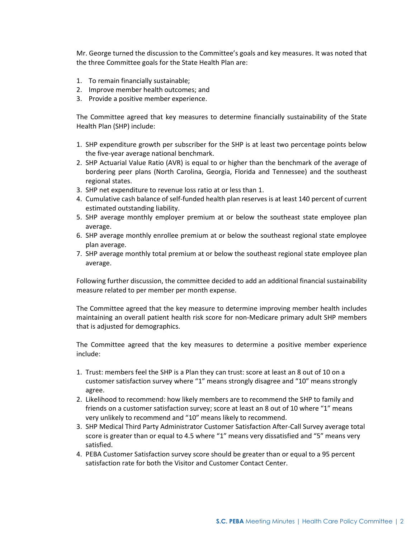Mr. George turned the discussion to the Committee's goals and key measures. It was noted that the three Committee goals for the State Health Plan are:

- 1. To remain financially sustainable;
- 2. Improve member health outcomes; and
- 3. Provide a positive member experience.

The Committee agreed that key measures to determine financially sustainability of the State Health Plan (SHP) include:

- 1. SHP expenditure growth per subscriber for the SHP is at least two percentage points below the five-year average national benchmark.
- 2. SHP Actuarial Value Ratio (AVR) is equal to or higher than the benchmark of the average of bordering peer plans (North Carolina, Georgia, Florida and Tennessee) and the southeast regional states.
- 3. SHP net expenditure to revenue loss ratio at or less than 1.
- 4. Cumulative cash balance of self-funded health plan reserves is at least 140 percent of current estimated outstanding liability.
- 5. SHP average monthly employer premium at or below the southeast state employee plan average.
- 6. SHP average monthly enrollee premium at or below the southeast regional state employee plan average.
- 7. SHP average monthly total premium at or below the southeast regional state employee plan average.

Following further discussion, the committee decided to add an additional financial sustainability measure related to per member per month expense.

The Committee agreed that the key measure to determine improving member health includes maintaining an overall patient health risk score for non-Medicare primary adult SHP members that is adjusted for demographics.

The Committee agreed that the key measures to determine a positive member experience include:

- 1. Trust: members feel the SHP is a Plan they can trust: score at least an 8 out of 10 on a customer satisfaction survey where "1" means strongly disagree and "10" means strongly agree.
- 2. Likelihood to recommend: how likely members are to recommend the SHP to family and friends on a customer satisfaction survey; score at least an 8 out of 10 where "1" means very unlikely to recommend and "10" means likely to recommend.
- 3. SHP Medical Third Party Administrator Customer Satisfaction After-Call Survey average total score is greater than or equal to 4.5 where "1" means very dissatisfied and "5" means very satisfied.
- 4. PEBA Customer Satisfaction survey score should be greater than or equal to a 95 percent satisfaction rate for both the Visitor and Customer Contact Center.